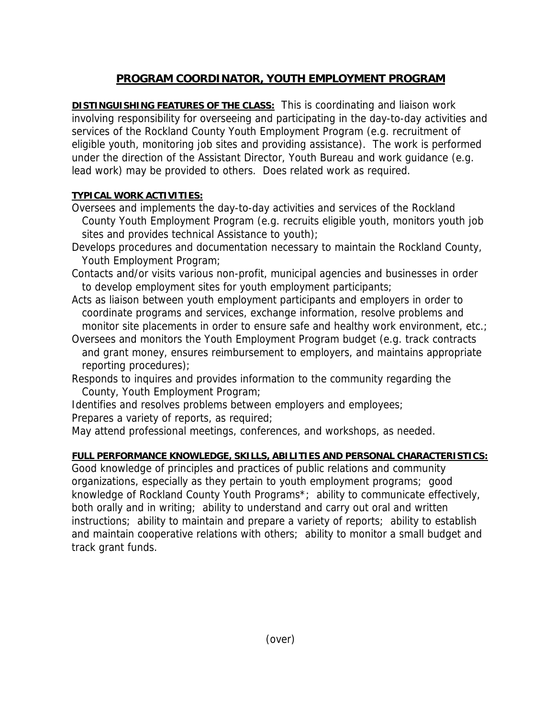## **PROGRAM COORDINATOR, YOUTH EMPLOYMENT PROGRAM**

**DISTINGUISHING FEATURES OF THE CLASS:** This is coordinating and liaison work involving responsibility for overseeing and participating in the day-to-day activities and services of the Rockland County Youth Employment Program (e.g. recruitment of eligible youth, monitoring job sites and providing assistance). The work is performed under the direction of the Assistant Director, Youth Bureau and work guidance (e.g. lead work) may be provided to others. Does related work as required.

## **TYPICAL WORK ACTIVITIES:**

- Oversees and implements the day-to-day activities and services of the Rockland County Youth Employment Program (e.g. recruits eligible youth, monitors youth job sites and provides technical Assistance to youth);
- Develops procedures and documentation necessary to maintain the Rockland County, Youth Employment Program;
- Contacts and/or visits various non-profit, municipal agencies and businesses in order to develop employment sites for youth employment participants;
- Acts as liaison between youth employment participants and employers in order to coordinate programs and services, exchange information, resolve problems and monitor site placements in order to ensure safe and healthy work environment, etc.;
- Oversees and monitors the Youth Employment Program budget (e.g. track contracts and grant money, ensures reimbursement to employers, and maintains appropriate reporting procedures);
- Responds to inquires and provides information to the community regarding the County, Youth Employment Program;
- Identifies and resolves problems between employers and employees;
- Prepares a variety of reports, as required;
- May attend professional meetings, conferences, and workshops, as needed.

## **FULL PERFORMANCE KNOWLEDGE, SKILLS, ABILITIES AND PERSONAL CHARACTERISTICS:**

Good knowledge of principles and practices of public relations and community organizations, especially as they pertain to youth employment programs; good knowledge of Rockland County Youth Programs\*; ability to communicate effectively, both orally and in writing; ability to understand and carry out oral and written instructions; ability to maintain and prepare a variety of reports; ability to establish and maintain cooperative relations with others; ability to monitor a small budget and track grant funds.